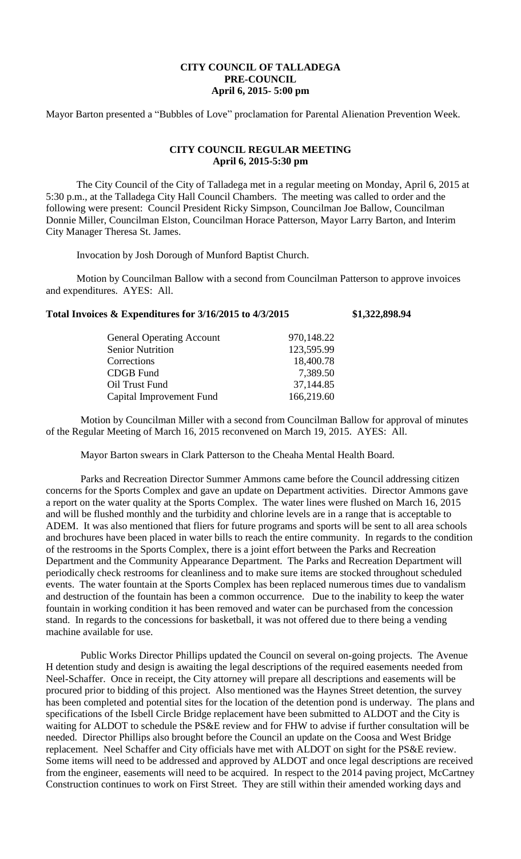## **CITY COUNCIL OF TALLADEGA PRE-COUNCIL April 6, 2015- 5:00 pm**

Mayor Barton presented a "Bubbles of Love" proclamation for Parental Alienation Prevention Week.

## **CITY COUNCIL REGULAR MEETING April 6, 2015-5:30 pm**

The City Council of the City of Talladega met in a regular meeting on Monday, April 6, 2015 at 5:30 p.m., at the Talladega City Hall Council Chambers. The meeting was called to order and the following were present: Council President Ricky Simpson, Councilman Joe Ballow, Councilman Donnie Miller, Councilman Elston, Councilman Horace Patterson, Mayor Larry Barton, and Interim City Manager Theresa St. James.

Invocation by Josh Dorough of Munford Baptist Church.

Motion by Councilman Ballow with a second from Councilman Patterson to approve invoices and expenditures. AYES: All.

## **Total Invoices & Expenditures for 3/16/2015 to 4/3/2015 \$1,322,898.94**

| 123,595.99 |
|------------|
|            |
| 18,400.78  |
| 7,389.50   |
| 37,144.85  |
| 166,219.60 |
|            |

Motion by Councilman Miller with a second from Councilman Ballow for approval of minutes of the Regular Meeting of March 16, 2015 reconvened on March 19, 2015. AYES: All.

Mayor Barton swears in Clark Patterson to the Cheaha Mental Health Board.

Parks and Recreation Director Summer Ammons came before the Council addressing citizen concerns for the Sports Complex and gave an update on Department activities. Director Ammons gave a report on the water quality at the Sports Complex. The water lines were flushed on March 16, 2015 and will be flushed monthly and the turbidity and chlorine levels are in a range that is acceptable to ADEM. It was also mentioned that fliers for future programs and sports will be sent to all area schools and brochures have been placed in water bills to reach the entire community. In regards to the condition of the restrooms in the Sports Complex, there is a joint effort between the Parks and Recreation Department and the Community Appearance Department. The Parks and Recreation Department will periodically check restrooms for cleanliness and to make sure items are stocked throughout scheduled events. The water fountain at the Sports Complex has been replaced numerous times due to vandalism and destruction of the fountain has been a common occurrence. Due to the inability to keep the water fountain in working condition it has been removed and water can be purchased from the concession stand. In regards to the concessions for basketball, it was not offered due to there being a vending machine available for use.

Public Works Director Phillips updated the Council on several on-going projects. The Avenue H detention study and design is awaiting the legal descriptions of the required easements needed from Neel-Schaffer. Once in receipt, the City attorney will prepare all descriptions and easements will be procured prior to bidding of this project. Also mentioned was the Haynes Street detention, the survey has been completed and potential sites for the location of the detention pond is underway. The plans and specifications of the Isbell Circle Bridge replacement have been submitted to ALDOT and the City is waiting for ALDOT to schedule the PS&E review and for FHW to advise if further consultation will be needed. Director Phillips also brought before the Council an update on the Coosa and West Bridge replacement. Neel Schaffer and City officials have met with ALDOT on sight for the PS&E review. Some items will need to be addressed and approved by ALDOT and once legal descriptions are received from the engineer, easements will need to be acquired. In respect to the 2014 paving project, McCartney Construction continues to work on First Street. They are still within their amended working days and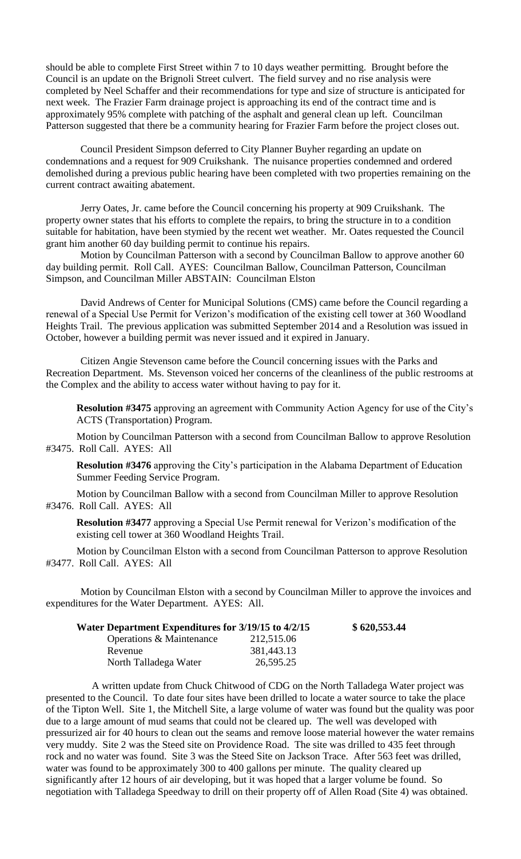should be able to complete First Street within 7 to 10 days weather permitting. Brought before the Council is an update on the Brignoli Street culvert. The field survey and no rise analysis were completed by Neel Schaffer and their recommendations for type and size of structure is anticipated for next week. The Frazier Farm drainage project is approaching its end of the contract time and is approximately 95% complete with patching of the asphalt and general clean up left. Councilman Patterson suggested that there be a community hearing for Frazier Farm before the project closes out.

Council President Simpson deferred to City Planner Buyher regarding an update on condemnations and a request for 909 Cruikshank. The nuisance properties condemned and ordered demolished during a previous public hearing have been completed with two properties remaining on the current contract awaiting abatement.

Jerry Oates, Jr. came before the Council concerning his property at 909 Cruikshank. The property owner states that his efforts to complete the repairs, to bring the structure in to a condition suitable for habitation, have been stymied by the recent wet weather. Mr. Oates requested the Council grant him another 60 day building permit to continue his repairs.

Motion by Councilman Patterson with a second by Councilman Ballow to approve another 60 day building permit. Roll Call. AYES: Councilman Ballow, Councilman Patterson, Councilman Simpson, and Councilman Miller ABSTAIN: Councilman Elston

David Andrews of Center for Municipal Solutions (CMS) came before the Council regarding a renewal of a Special Use Permit for Verizon's modification of the existing cell tower at 360 Woodland Heights Trail. The previous application was submitted September 2014 and a Resolution was issued in October, however a building permit was never issued and it expired in January.

Citizen Angie Stevenson came before the Council concerning issues with the Parks and Recreation Department. Ms. Stevenson voiced her concerns of the cleanliness of the public restrooms at the Complex and the ability to access water without having to pay for it.

**Resolution #3475** approving an agreement with Community Action Agency for use of the City's ACTS (Transportation) Program.

Motion by Councilman Patterson with a second from Councilman Ballow to approve Resolution #3475. Roll Call. AYES: All

**Resolution #3476** approving the City's participation in the Alabama Department of Education Summer Feeding Service Program.

Motion by Councilman Ballow with a second from Councilman Miller to approve Resolution #3476. Roll Call. AYES: All

**Resolution #3477** approving a Special Use Permit renewal for Verizon's modification of the existing cell tower at 360 Woodland Heights Trail.

Motion by Councilman Elston with a second from Councilman Patterson to approve Resolution #3477. Roll Call. AYES: All

Motion by Councilman Elston with a second by Councilman Miller to approve the invoices and expenditures for the Water Department. AYES: All.

| Water Department Expenditures for 3/19/15 to 4/2/15 |            | \$620,553.44 |
|-----------------------------------------------------|------------|--------------|
| Operations & Maintenance                            | 212,515.06 |              |
| Revenue                                             | 381,443.13 |              |
| North Talladega Water                               | 26,595.25  |              |

A written update from Chuck Chitwood of CDG on the North Talladega Water project was presented to the Council. To date four sites have been drilled to locate a water source to take the place of the Tipton Well. Site 1, the Mitchell Site, a large volume of water was found but the quality was poor due to a large amount of mud seams that could not be cleared up. The well was developed with pressurized air for 40 hours to clean out the seams and remove loose material however the water remains very muddy. Site 2 was the Steed site on Providence Road. The site was drilled to 435 feet through rock and no water was found. Site 3 was the Steed Site on Jackson Trace. After 563 feet was drilled, water was found to be approximately 300 to 400 gallons per minute. The quality cleared up significantly after 12 hours of air developing, but it was hoped that a larger volume be found. So negotiation with Talladega Speedway to drill on their property off of Allen Road (Site 4) was obtained.